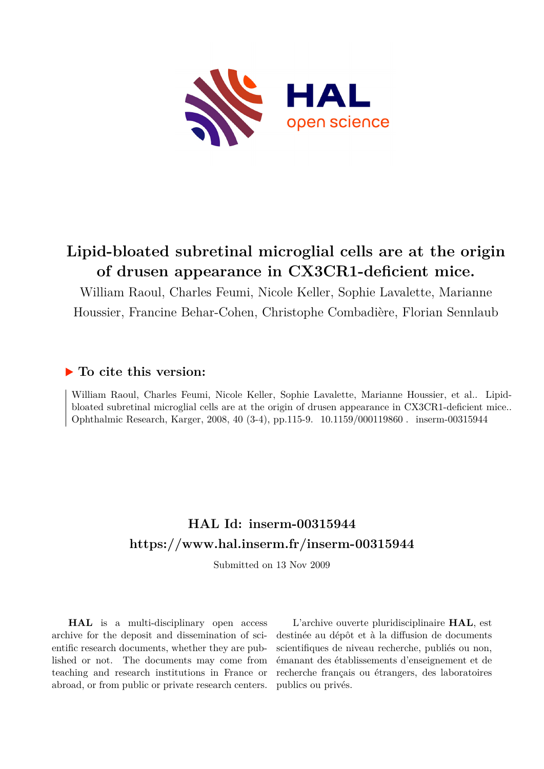

# **Lipid-bloated subretinal microglial cells are at the origin of drusen appearance in CX3CR1-deficient mice.**

William Raoul, Charles Feumi, Nicole Keller, Sophie Lavalette, Marianne Houssier, Francine Behar-Cohen, Christophe Combadière, Florian Sennlaub

### **To cite this version:**

William Raoul, Charles Feumi, Nicole Keller, Sophie Lavalette, Marianne Houssier, et al.. Lipidbloated subretinal microglial cells are at the origin of drusen appearance in CX3CR1-deficient mice.. Ophthalmic Research, Karger, 2008, 40 (3-4), pp.115-9. 10.1159/000119860. inserm-00315944

# **HAL Id: inserm-00315944 <https://www.hal.inserm.fr/inserm-00315944>**

Submitted on 13 Nov 2009

**HAL** is a multi-disciplinary open access archive for the deposit and dissemination of scientific research documents, whether they are published or not. The documents may come from teaching and research institutions in France or abroad, or from public or private research centers.

L'archive ouverte pluridisciplinaire **HAL**, est destinée au dépôt et à la diffusion de documents scientifiques de niveau recherche, publiés ou non, émanant des établissements d'enseignement et de recherche français ou étrangers, des laboratoires publics ou privés.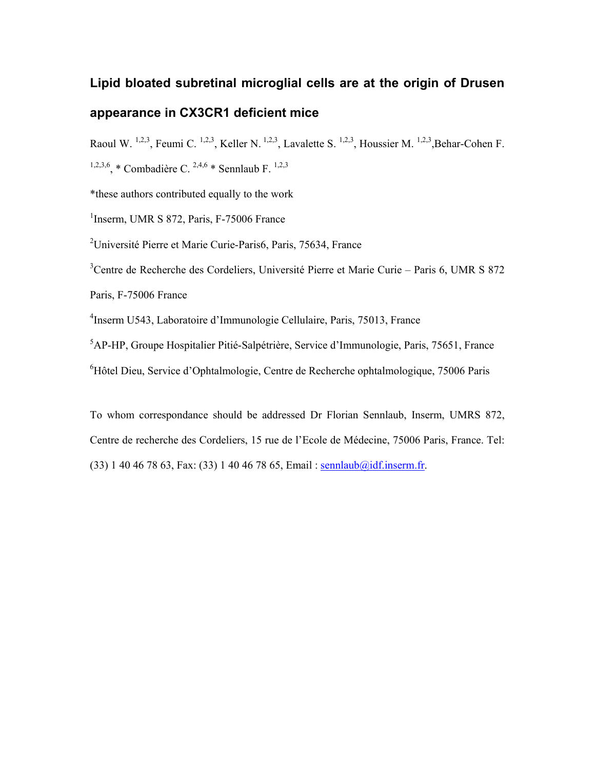# Lipid bloated subretinal microglial cells are at the origin of Drusen appearance in CX3CR1 deficient mice

Raoul W. <sup>1,2,3</sup>, Feumi C. <sup>1,2,3</sup>, Keller N. <sup>1,2,3</sup>, Lavalette S. <sup>1,2,3</sup>, Houssier M. <sup>1,2,3</sup>, Behar-Cohen F.

<sup>1,2,3,6</sup> \* Combadière C. <sup>2,4,6</sup> \* Sennlaub F. <sup>1,2,3</sup>

\*these authors contributed equally to the work

<sup>1</sup>Inserm, UMR S 872, Paris, F-75006 France

<sup>2</sup>Université Pierre et Marie Curie-Paris6, Paris, 75634, France

<sup>3</sup>Centre de Recherche des Cordeliers, Université Pierre et Marie Curie – Paris 6, UMR S 872

Paris, F-75006 France

4 Inserm U543, Laboratoire d'Immunologie Cellulaire, Paris, 75013, France

<sup>5</sup>AP-HP, Groupe Hospitalier Pitié-Salpétrière, Service d'Immunologie, Paris, 75651, France

<sup>6</sup>Hôtel Dieu, Service d'Ophtalmologie, Centre de Recherche ophtalmologique, 75006 Paris

To whom correspondance should be addressed Dr Florian Sennlaub, Inserm, UMRS 872, Centre de recherche des Cordeliers, 15 rue de l'Ecole de Médecine, 75006 Paris, France. Tel: (33) 1 40 46 78 63, Fax: (33) 1 40 46 78 65, Email : sennlaub@idf.inserm.fr.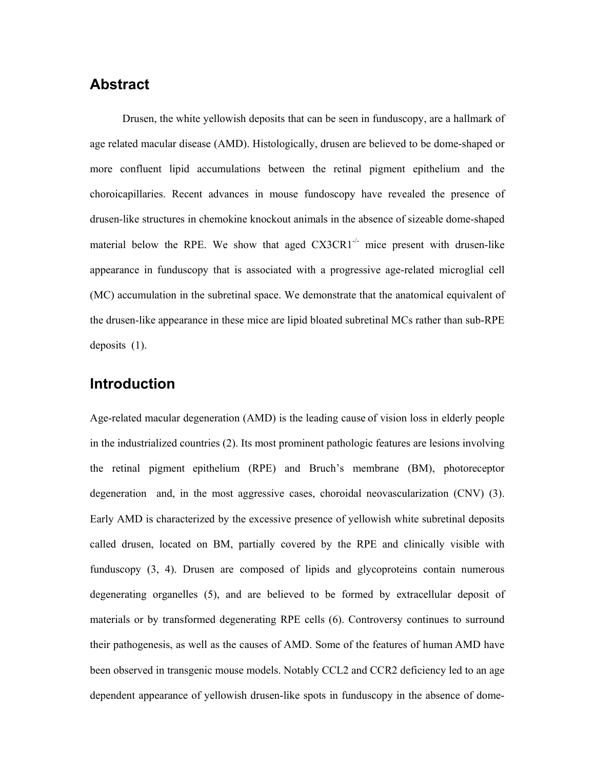### Abstract

Drusen, the white yellowish deposits that can be seen in funduscopy, are a hallmark of age related macular disease (AMD). Histologically, drusen are believed to be dome-shaped or more confluent lipid accumulations between the retinal pigment epithelium and the choroicapillaries. Recent advances in mouse fundoscopy have revealed the presence of drusen-like structures in chemokine knockout animals in the absence of sizeable dome-shaped material below the RPE. We show that aged  $CX3CR1<sup>-/-</sup>$  mice present with drusen-like appearance in funduscopy that is associated with a progressive age-related microglial cell (MC) accumulation in the subretinal space. We demonstrate that the anatomical equivalent of the drusen-like appearance in these mice are lipid bloated subretinal MCs rather than sub-RPE deposits (1).

### Introduction

Age-related macular degeneration (AMD) is the leading cause of vision loss in elderly people in the industrialized countries (2). Its most prominent pathologic features are lesions involving the retinal pigment epithelium (RPE) and Bruch's membrane (BM), photoreceptor degeneration and, in the most aggressive cases, choroidal neovascularization (CNV) (3). Early AMD is characterized by the excessive presence of yellowish white subretinal deposits called drusen, located on BM, partially covered by the RPE and clinically visible with funduscopy (3, 4). Drusen are composed of lipids and glycoproteins contain numerous degenerating organelles (5), and are believed to be formed by extracellular deposit of materials or by transformed degenerating RPE cells (6). Controversy continues to surround their pathogenesis, as well as the causes of AMD. Some of the features of human AMD have been observed in transgenic mouse models. Notably CCL2 and CCR2 deficiency led to an age dependent appearance of yellowish drusen-like spots in funduscopy in the absence of dome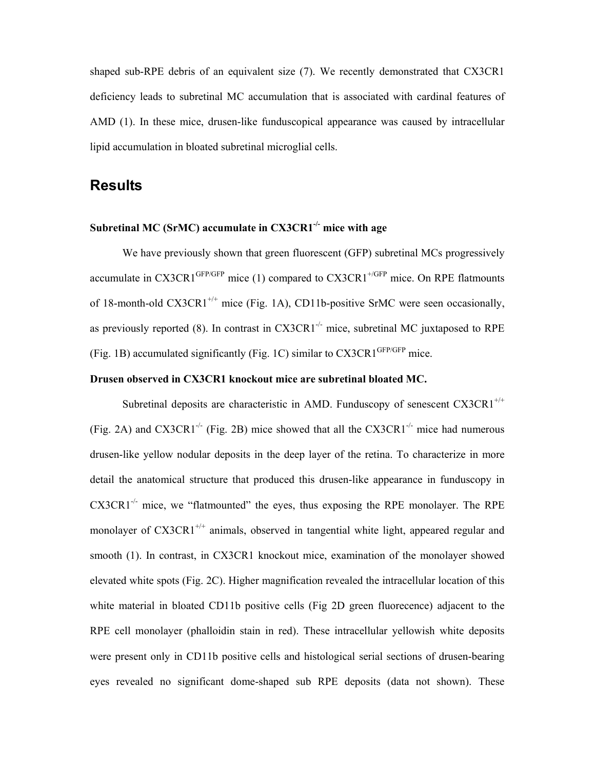shaped sub-RPE debris of an equivalent size (7). We recently demonstrated that CX3CR1 deficiency leads to subretinal MC accumulation that is associated with cardinal features of AMD (1). In these mice, drusen-like funduscopical appearance was caused by intracellular lipid accumulation in bloated subretinal microglial cells.

### **Results**

#### Subretinal MC (SrMC) accumulate in  $CX3CR1<sup>-/-</sup>$  mice with age

We have previously shown that green fluorescent (GFP) subretinal MCs progressively accumulate in  $CX3CR1^{GFP/GFP}$  mice (1) compared to  $CX3CR1^{+(GFP)}$  mice. On RPE flatmounts of 18-month-old CX3CR1<sup>+/+</sup> mice (Fig. 1A), CD11b-positive SrMC were seen occasionally, as previously reported (8). In contrast in  $CX3CR1^{-/-}$  mice, subretinal MC juxtaposed to RPE (Fig. 1B) accumulated significantly (Fig. 1C) similar to  $CX3CR1<sup>GFP/GFP</sup>$  mice.

#### Drusen observed in CX3CR1 knockout mice are subretinal bloated MC.

Subretinal deposits are characteristic in AMD. Funduscopy of senescent  $CX3CR1^{+/+}$ (Fig. 2A) and CX3CR1<sup>-/-</sup> (Fig. 2B) mice showed that all the CX3CR1<sup>-/-</sup> mice had numerous drusen-like yellow nodular deposits in the deep layer of the retina. To characterize in more detail the anatomical structure that produced this drusen-like appearance in funduscopy in  $CX3CR1^{-/-}$  mice, we "flatmounted" the eyes, thus exposing the RPE monolayer. The RPE monolayer of  $CX3CR1^{+/+}$  animals, observed in tangential white light, appeared regular and smooth (1). In contrast, in CX3CR1 knockout mice, examination of the monolayer showed elevated white spots (Fig. 2C). Higher magnification revealed the intracellular location of this white material in bloated CD11b positive cells (Fig 2D green fluorecence) adjacent to the RPE cell monolayer (phalloidin stain in red). These intracellular yellowish white deposits were present only in CD11b positive cells and histological serial sections of drusen-bearing eyes revealed no significant dome-shaped sub RPE deposits (data not shown). These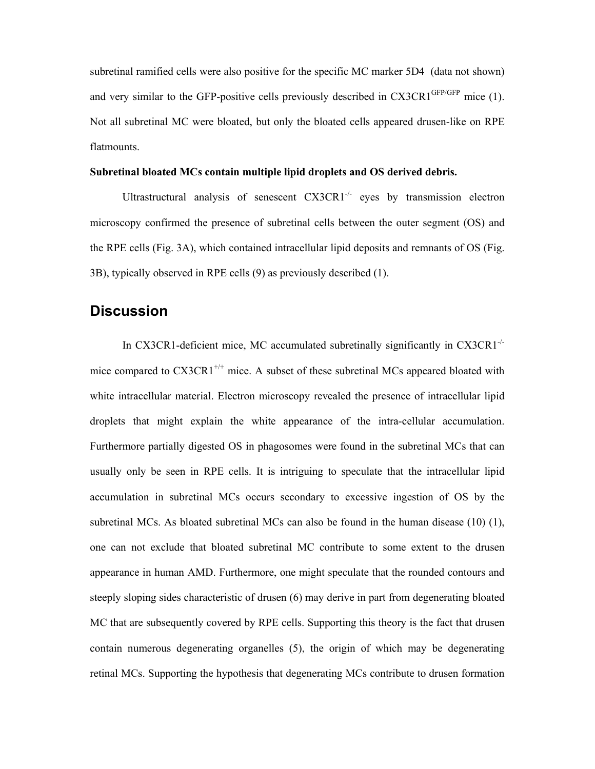subretinal ramified cells were also positive for the specific MC marker 5D4 (data not shown) and very similar to the GFP-positive cells previously described in  $CX3CR1<sup>GFP/GFP</sup>$  mice (1). Not all subretinal MC were bloated, but only the bloated cells appeared drusen-like on RPE flatmounts.

#### Subretinal bloated MCs contain multiple lipid droplets and OS derived debris.

Ultrastructural analysis of senescent CX3CR1<sup>-/-</sup> eyes by transmission electron microscopy confirmed the presence of subretinal cells between the outer segment (OS) and the RPE cells (Fig. 3A), which contained intracellular lipid deposits and remnants of OS (Fig. 3B), typically observed in RPE cells (9) as previously described (1).

### **Discussion**

In CX3CR1-deficient mice, MC accumulated subretinally significantly in  $CX3CR1^{-1}$ mice compared to  $CXXCR1^{+/+}$  mice. A subset of these subretinal MCs appeared bloated with white intracellular material. Electron microscopy revealed the presence of intracellular lipid droplets that might explain the white appearance of the intra-cellular accumulation. Furthermore partially digested OS in phagosomes were found in the subretinal MCs that can usually only be seen in RPE cells. It is intriguing to speculate that the intracellular lipid accumulation in subretinal MCs occurs secondary to excessive ingestion of OS by the subretinal MCs. As bloated subretinal MCs can also be found in the human disease (10) (1), one can not exclude that bloated subretinal MC contribute to some extent to the drusen appearance in human AMD. Furthermore, one might speculate that the rounded contours and steeply sloping sides characteristic of drusen (6) may derive in part from degenerating bloated MC that are subsequently covered by RPE cells. Supporting this theory is the fact that drusen contain numerous degenerating organelles (5), the origin of which may be degenerating retinal MCs. Supporting the hypothesis that degenerating MCs contribute to drusen formation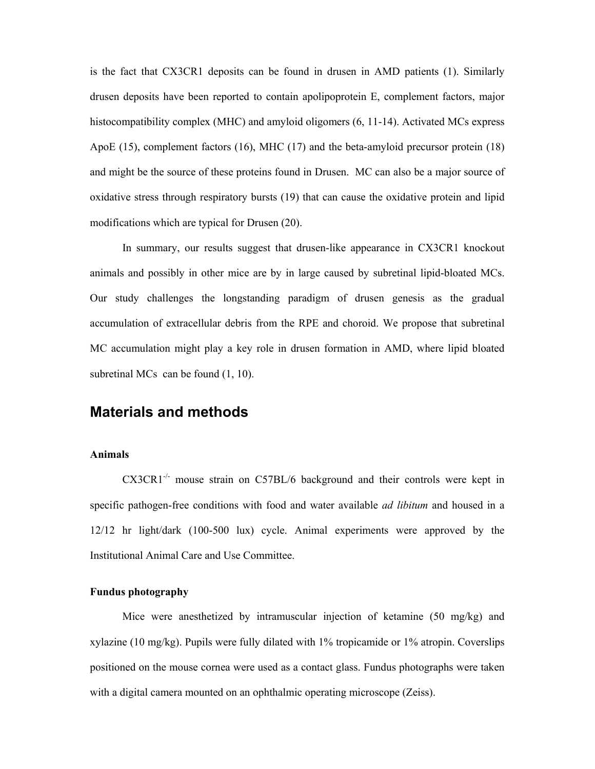is the fact that CX3CR1 deposits can be found in drusen in AMD patients (1). Similarly drusen deposits have been reported to contain apolipoprotein E, complement factors, major histocompatibility complex (MHC) and amyloid oligomers  $(6, 11-14)$ . Activated MCs express ApoE (15), complement factors (16), MHC (17) and the beta-amyloid precursor protein (18) and might be the source of these proteins found in Drusen. MC can also be a major source of oxidative stress through respiratory bursts (19) that can cause the oxidative protein and lipid modifications which are typical for Drusen (20).

In summary, our results suggest that drusen-like appearance in CX3CR1 knockout animals and possibly in other mice are by in large caused by subretinal lipid-bloated MCs. Our study challenges the longstanding paradigm of drusen genesis as the gradual accumulation of extracellular debris from the RPE and choroid. We propose that subretinal MC accumulation might play a key role in drusen formation in AMD, where lipid bloated subretinal MCs can be found  $(1, 10)$ .

### Materials and methods

#### Animals

CX3CR1<sup>-/-</sup> mouse strain on C57BL/6 background and their controls were kept in specific pathogen-free conditions with food and water available *ad libitum* and housed in a 12/12 hr light/dark (100-500 lux) cycle. Animal experiments were approved by the Institutional Animal Care and Use Committee.

#### Fundus photography

Mice were anesthetized by intramuscular injection of ketamine (50 mg/kg) and xylazine (10 mg/kg). Pupils were fully dilated with 1% tropicamide or 1% atropin. Coverslips positioned on the mouse cornea were used as a contact glass. Fundus photographs were taken with a digital camera mounted on an ophthalmic operating microscope (Zeiss).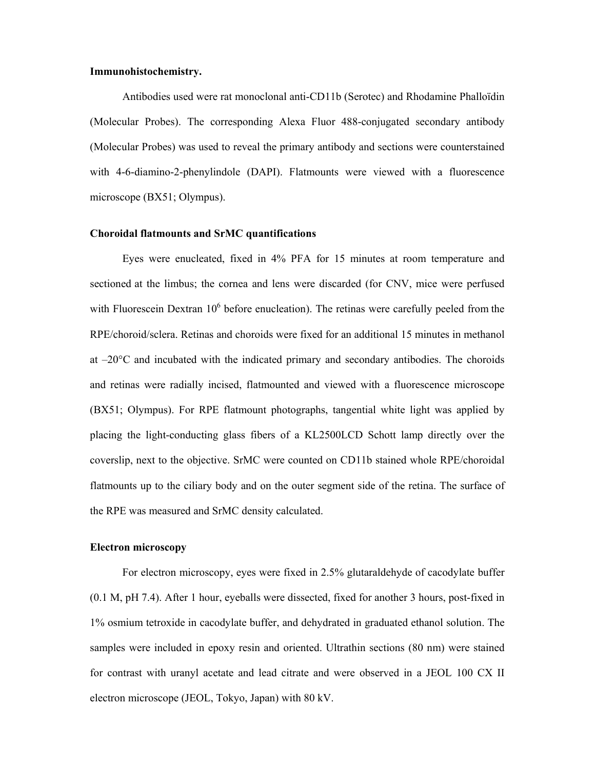#### Immunohistochemistry.

Antibodies used were rat monoclonal anti-CD11b (Serotec) and Rhodamine Phalloïdin (Molecular Probes). The corresponding Alexa Fluor 488-conjugated secondary antibody (Molecular Probes) was used to reveal the primary antibody and sections were counterstained with 4-6-diamino-2-phenylindole (DAPI). Flatmounts were viewed with a fluorescence microscope (BX51; Olympus).

#### Choroidal flatmounts and SrMC quantifications

Eyes were enucleated, fixed in 4% PFA for 15 minutes at room temperature and sectioned at the limbus; the cornea and lens were discarded (for CNV, mice were perfused with Fluorescein Dextran  $10<sup>6</sup>$  before enucleation). The retinas were carefully peeled from the RPE/choroid/sclera. Retinas and choroids were fixed for an additional 15 minutes in methanol at –20°C and incubated with the indicated primary and secondary antibodies. The choroids and retinas were radially incised, flatmounted and viewed with a fluorescence microscope (BX51; Olympus). For RPE flatmount photographs, tangential white light was applied by placing the light-conducting glass fibers of a KL2500LCD Schott lamp directly over the coverslip, next to the objective. SrMC were counted on CD11b stained whole RPE/choroidal flatmounts up to the ciliary body and on the outer segment side of the retina. The surface of the RPE was measured and SrMC density calculated.

#### Electron microscopy

For electron microscopy, eyes were fixed in 2.5% glutaraldehyde of cacodylate buffer (0.1 M, pH 7.4). After 1 hour, eyeballs were dissected, fixed for another 3 hours, post-fixed in 1% osmium tetroxide in cacodylate buffer, and dehydrated in graduated ethanol solution. The samples were included in epoxy resin and oriented. Ultrathin sections (80 nm) were stained for contrast with uranyl acetate and lead citrate and were observed in a JEOL 100 CX II electron microscope (JEOL, Tokyo, Japan) with 80 kV.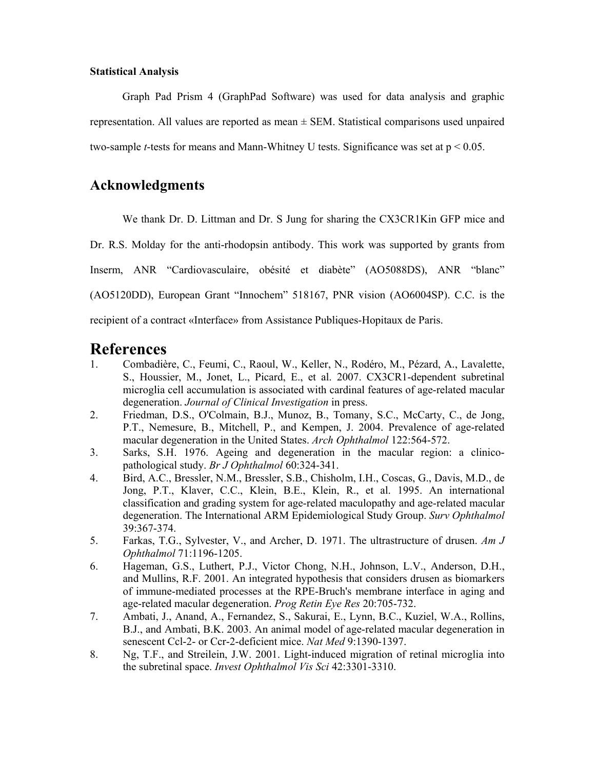#### Statistical Analysis

Graph Pad Prism 4 (GraphPad Software) was used for data analysis and graphic representation. All values are reported as mean ± SEM. Statistical comparisons used unpaired two-sample *t*-tests for means and Mann-Whitney U tests. Significance was set at  $p < 0.05$ .

### Acknowledgments

We thank Dr. D. Littman and Dr. S Jung for sharing the CX3CR1Kin GFP mice and

Dr. R.S. Molday for the anti-rhodopsin antibody. This work was supported by grants from

Inserm, ANR "Cardiovasculaire, obésité et diabète" (AO5088DS), ANR "blanc"

(AO5120DD), European Grant "Innochem" 518167, PNR vision (AO6004SP). C.C. is the

recipient of a contract «Interface» from Assistance Publiques-Hopitaux de Paris.

## References

- 1. Combadière, C., Feumi, C., Raoul, W., Keller, N., Rodéro, M., Pézard, A., Lavalette, S., Houssier, M., Jonet, L., Picard, E., et al. 2007. CX3CR1-dependent subretinal microglia cell accumulation is associated with cardinal features of age-related macular degeneration. Journal of Clinical Investigation in press.
- 2. Friedman, D.S., O'Colmain, B.J., Munoz, B., Tomany, S.C., McCarty, C., de Jong, P.T., Nemesure, B., Mitchell, P., and Kempen, J. 2004. Prevalence of age-related macular degeneration in the United States. Arch Ophthalmol 122:564-572.
- 3. Sarks, S.H. 1976. Ageing and degeneration in the macular region: a clinicopathological study. Br J Ophthalmol 60:324-341.
- 4. Bird, A.C., Bressler, N.M., Bressler, S.B., Chisholm, I.H., Coscas, G., Davis, M.D., de Jong, P.T., Klaver, C.C., Klein, B.E., Klein, R., et al. 1995. An international classification and grading system for age-related maculopathy and age-related macular degeneration. The International ARM Epidemiological Study Group. Surv Ophthalmol 39:367-374.
- 5. Farkas, T.G., Sylvester, V., and Archer, D. 1971. The ultrastructure of drusen. Am J Ophthalmol 71:1196-1205.
- 6. Hageman, G.S., Luthert, P.J., Victor Chong, N.H., Johnson, L.V., Anderson, D.H., and Mullins, R.F. 2001. An integrated hypothesis that considers drusen as biomarkers of immune-mediated processes at the RPE-Bruch's membrane interface in aging and age-related macular degeneration. Prog Retin Eye Res 20:705-732.
- 7. Ambati, J., Anand, A., Fernandez, S., Sakurai, E., Lynn, B.C., Kuziel, W.A., Rollins, B.J., and Ambati, B.K. 2003. An animal model of age-related macular degeneration in senescent Ccl-2- or Ccr-2-deficient mice. Nat Med 9:1390-1397.
- 8. Ng, T.F., and Streilein, J.W. 2001. Light-induced migration of retinal microglia into the subretinal space. Invest Ophthalmol Vis Sci 42:3301-3310.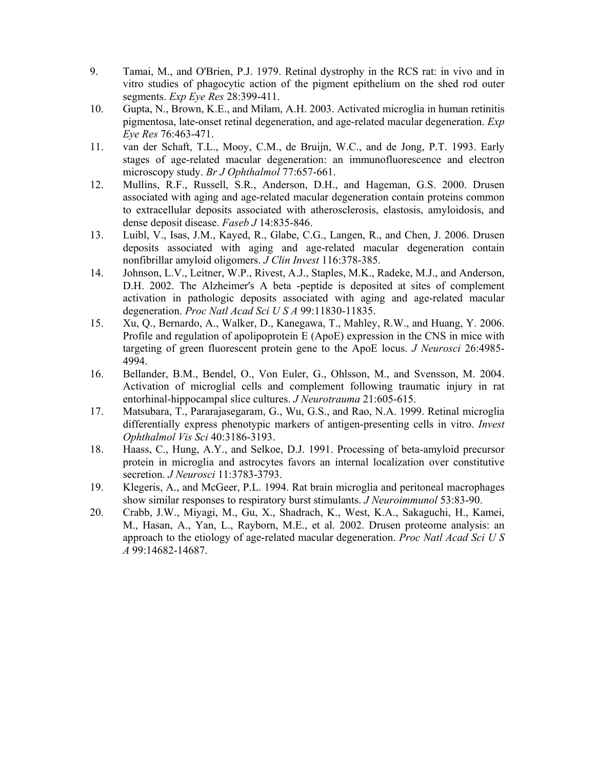- 9. Tamai, M., and O'Brien, P.J. 1979. Retinal dystrophy in the RCS rat: in vivo and in vitro studies of phagocytic action of the pigment epithelium on the shed rod outer segments. Exp Eye Res 28:399-411.
- 10. Gupta, N., Brown, K.E., and Milam, A.H. 2003. Activated microglia in human retinitis pigmentosa, late-onset retinal degeneration, and age-related macular degeneration. Exp Eye Res 76:463-471.
- 11. van der Schaft, T.L., Mooy, C.M., de Bruijn, W.C., and de Jong, P.T. 1993. Early stages of age-related macular degeneration: an immunofluorescence and electron microscopy study. Br J Ophthalmol 77:657-661.
- 12. Mullins, R.F., Russell, S.R., Anderson, D.H., and Hageman, G.S. 2000. Drusen associated with aging and age-related macular degeneration contain proteins common to extracellular deposits associated with atherosclerosis, elastosis, amyloidosis, and dense deposit disease. Faseb J 14:835-846.
- 13. Luibl, V., Isas, J.M., Kayed, R., Glabe, C.G., Langen, R., and Chen, J. 2006. Drusen deposits associated with aging and age-related macular degeneration contain nonfibrillar amyloid oligomers. J Clin Invest 116:378-385.
- 14. Johnson, L.V., Leitner, W.P., Rivest, A.J., Staples, M.K., Radeke, M.J., and Anderson, D.H. 2002. The Alzheimer's A beta -peptide is deposited at sites of complement activation in pathologic deposits associated with aging and age-related macular degeneration. Proc Natl Acad Sci U S A 99:11830-11835.
- 15. Xu, Q., Bernardo, A., Walker, D., Kanegawa, T., Mahley, R.W., and Huang, Y. 2006. Profile and regulation of apolipoprotein E (ApoE) expression in the CNS in mice with targeting of green fluorescent protein gene to the ApoE locus. J Neurosci 26:4985- 4994.
- 16. Bellander, B.M., Bendel, O., Von Euler, G., Ohlsson, M., and Svensson, M. 2004. Activation of microglial cells and complement following traumatic injury in rat entorhinal-hippocampal slice cultures. J Neurotrauma 21:605-615.
- 17. Matsubara, T., Pararajasegaram, G., Wu, G.S., and Rao, N.A. 1999. Retinal microglia differentially express phenotypic markers of antigen-presenting cells in vitro. Invest Ophthalmol Vis Sci 40:3186-3193.
- 18. Haass, C., Hung, A.Y., and Selkoe, D.J. 1991. Processing of beta-amyloid precursor protein in microglia and astrocytes favors an internal localization over constitutive secretion. *J Neurosci* 11:3783-3793.
- 19. Klegeris, A., and McGeer, P.L. 1994. Rat brain microglia and peritoneal macrophages show similar responses to respiratory burst stimulants. J Neuroimmunol 53:83-90.
- 20. Crabb, J.W., Miyagi, M., Gu, X., Shadrach, K., West, K.A., Sakaguchi, H., Kamei, M., Hasan, A., Yan, L., Rayborn, M.E., et al. 2002. Drusen proteome analysis: an approach to the etiology of age-related macular degeneration. Proc Natl Acad Sci U S A 99:14682-14687.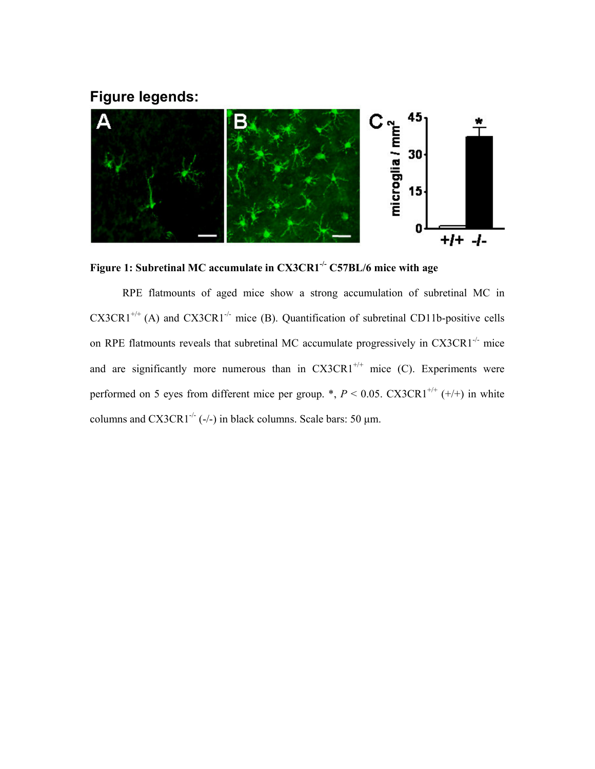### Figure legends:



Figure 1: Subretinal MC accumulate in CX3CR1<sup>-/-</sup> C57BL/6 mice with age

RPE flatmounts of aged mice show a strong accumulation of subretinal MC in  $C X 3C R1^{+/+}$  (A) and  $C X 3C R1^{-/-}$  mice (B). Quantification of subretinal CD11b-positive cells on RPE flatmounts reveals that subretinal MC accumulate progressively in  $CX3CR1^{-1}$  mice and are significantly more numerous than in  $CX3CR1^{+/+}$  mice (C). Experiments were performed on 5 eyes from different mice per group. \*,  $P < 0.05$ . CX3CR1<sup>+/+</sup> (+/+) in white columns and  $CX3CR1^{-/-}$  (-/-) in black columns. Scale bars: 50 µm.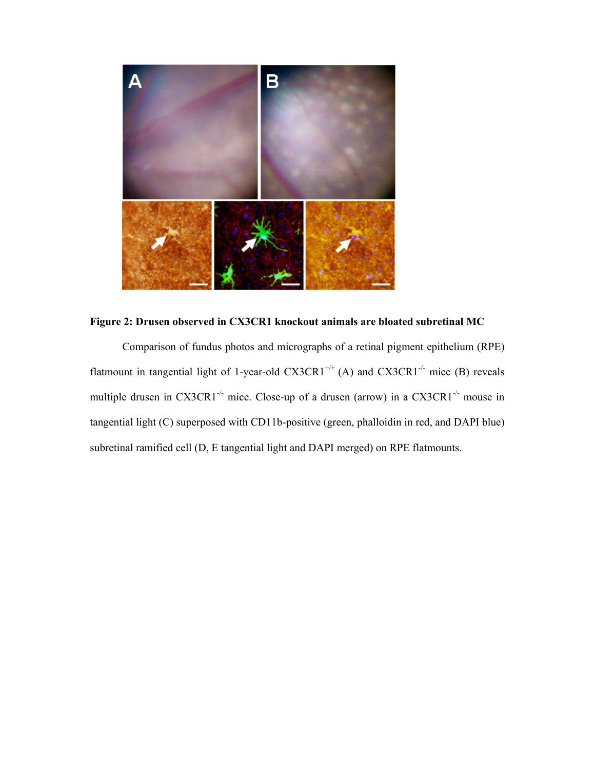

### Figure 2: Drusen observed in CX3CR1 knockout animals are bloated subretinal MC

Comparison of fundus photos and micrographs of a retinal pigment epithelium (RPE) flatmount in tangential light of 1-year-old  $CX3CR1^{+/+}$  (A) and  $CX3CR1^{-/-}$  mice (B) reveals multiple drusen in CX3CR1<sup>-/-</sup> mice. Close-up of a drusen (arrow) in a CX3CR1<sup>-/-</sup> mouse in tangential light (C) superposed with CD11b-positive (green, phalloidin in red, and DAPI blue) subretinal ramified cell (D, E tangential light and DAPI merged) on RPE flatmounts.